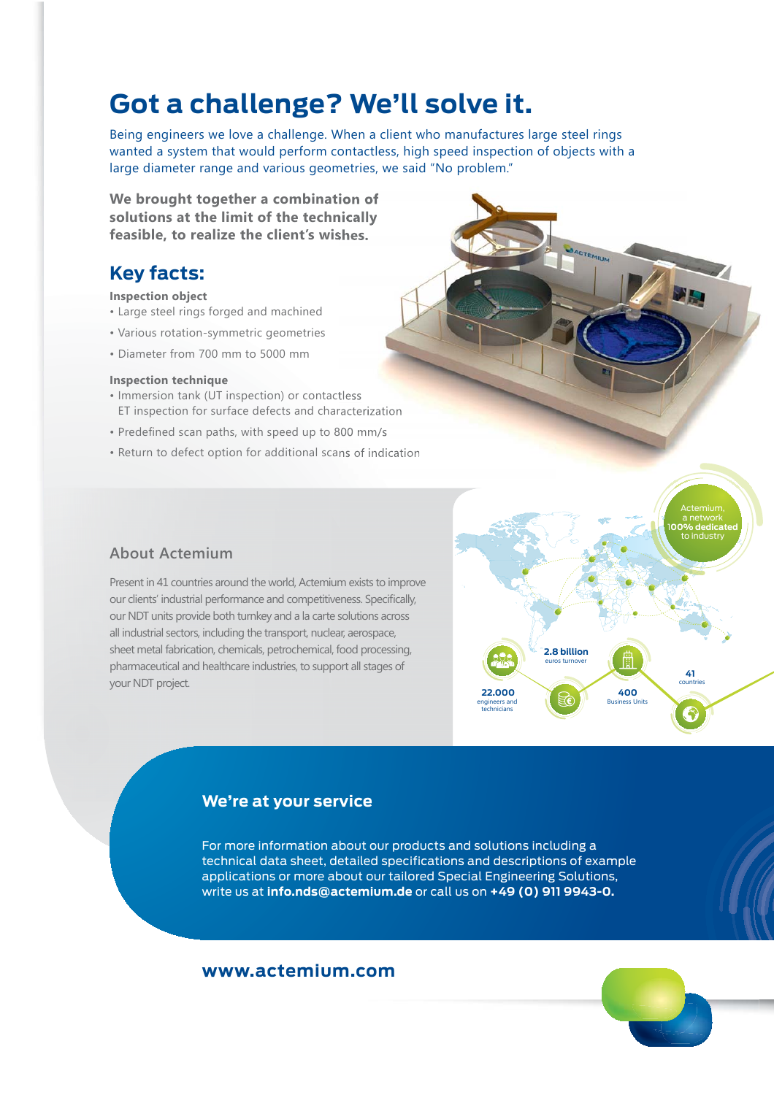## **Got a challenge? We'll solve it.**

Being engineers we love a challenge. When a client who manufactures large steel rings wanted a system that would perform contactless, high speed inspection of objects with a large diameter range and various geometries, we said "No problem."

**We brought together a combination of solutions at the limit of the technically feasible, to realize the client's wishes.**

### **Key facts:**

#### **Inspection object**

- Large steel rings forged and machined
- Various rotation-symmetric geometries
- Diameter from 700 mm to 5000 mm

#### **Inspection technique**

- Immersion tank (UT inspection) or contactless ET inspection for surface defects and characterization
- Predefined scan paths, with speed up to 800 mm/s
- Return to defect option for additional scans of indication



#### **About Actemium**

Present in 41 countries around the world, Actemium exists to improve our clients' industrial performance and competitiveness. Specifically, our NDT units provide both turnkey and a la carte solutions across all industrial sectors, including the transport, nuclear, aerospace, sheet metal fabrication, chemicals, petrochemical, food processing, pharmaceutical and healthcare industries, to support all stages of your NDT project.



#### **We're at your service**

For more information about our products and solutions including a technical data sheet, detailed specifications and descriptions of example applications or more about our tailored Special Engineering Solutions, write us at **info.nds@actemium.de** or call us on **+49 (0) 911 9943-0.**

#### **www.actemium.com**